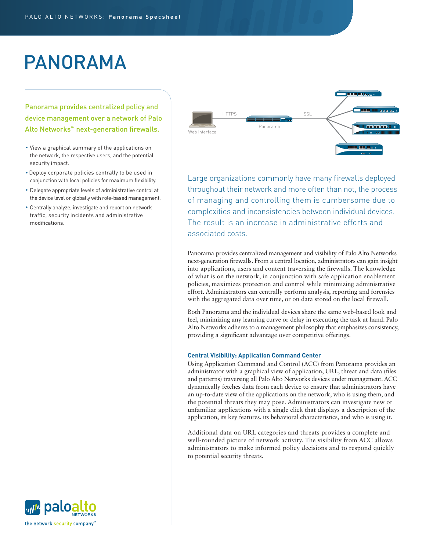# PANORAMA

Panorama provides centralized policy and device management over a network of Palo Alto Networks™ next-generation firewalls.

- View a graphical summary of the applications on the network, the respective users, and the potential security impact.
- Deploy corporate policies centrally to be used in conjunction with local policies for maximum flexibility.
- Delegate appropriate levels of administrative control at the device level or globally with role-based management.
- Centrally analyze, investigate and report on network traffic, security incidents and administrative modifications.



Large organizations commonly have many firewalls deployed throughout their network and more often than not, the process of managing and controlling them is cumbersome due to complexities and inconsistencies between individual devices. The result is an increase in administrative efforts and associated costs.

Panorama provides centralized management and visibility of Palo Alto Networks next-generation firewalls. From a central location, administrators can gain insight into applications, users and content traversing the firewalls. The knowledge of what is on the network, in conjunction with safe application enablement policies, maximizes protection and control while minimizing administrative effort. Administrators can centrally perform analysis, reporting and forensics with the aggregated data over time, or on data stored on the local firewall.

Both Panorama and the individual devices share the same web-based look and feel, minimizing any learning curve or delay in executing the task at hand. Palo Alto Networks adheres to a management philosophy that emphasizes consistency, providing a significant advantage over competitive offerings.

### **Central Visibility: Application Command Center**

Using Application Command and Control (ACC) from Panorama provides an administrator with a graphical view of application, URL, threat and data (files and patterns) traversing all Palo Alto Networks devices under management. ACC dynamically fetches data from each device to ensure that administrators have an up-to-date view of the applications on the network, who is using them, and the potential threats they may pose. Administrators can investigate new or unfamiliar applications with a single click that displays a description of the application, its key features, its behavioral characteristics, and who is using it.

Additional data on URL categories and threats provides a complete and well-rounded picture of network activity. The visibility from ACC allows administrators to make informed policy decisions and to respond quickly to potential security threats.

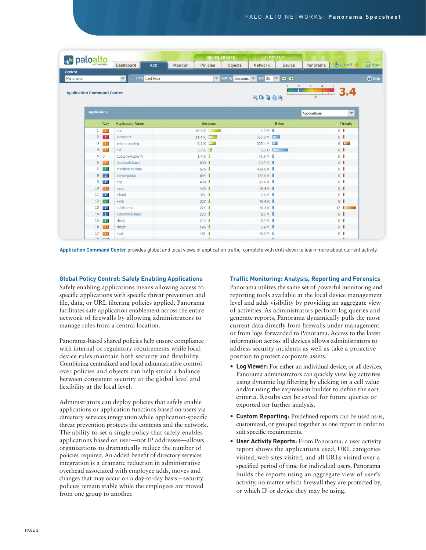

**Application Command Center** provides global and local views of application traffic, complete with drill-down to learn more about current activity.

### **Global Policy Control: Safely Enabling Applications**

Safely enabling applications means allowing access to specific applications with specific threat prevention and file, data, or URL filtering policies applied. Panorama facilitates safe application enablement across the entire network of firewalls by allowing administrators to manage rules from a central location.

Panorama-based shared policies help ensure compliance with internal or regulatory requirements while local device rules maintain both security and flexibility. Combining centralized and local administrative control over policies and objects can help strike a balance between consistent security at the global level and flexibility at the local level.

Administrators can deploy policies that safely enable applications or application functions based on users via directory services integration while application-specific threat prevention protects the contents and the network. The ability to set a single policy that safely enables applications based on user—not IP addresses—allows organizations to dramatically reduce the number of policies required. An added benefit of directory services integration is a dramatic reduction in administrative overhead associated with employee adds, moves and changes that may occur on a day-to-day basis – security policies remain stable while the employees are moved from one group to another.

#### **Traffic Monitoring: Analysis, Reporting and Forensics**

Panorama utilizes the same set of powerful monitoring and reporting tools available at the local device management level and adds visibility by providing an aggregate view of activities. As administrators perform log queries and generate reports, Panorama dynamically pulls the most current data directly from firewalls under management or from logs forwarded to Panorama. Access to the latest information across all devices allows administrators to address security incidents as well as take a proactive position to protect corporate assets.

- **Log Viewer:** For either an individual device, or all devices, Panorama administrators can quickly view log activities using dynamic log filtering by clicking on a cell value and/or using the expression builder to define the sort criteria. Results can be saved for future queries or exported for further analysis.
- **Custom Reporting:** Predefined reports can be used as-is, customized, or grouped together as one report in order to suit specific requirements.
- **User Activity Reports:** From Panorama, a user activity report shows the applications used, URL categories visited, web sites visited, and all URLs visited over a specified period of time for individual users. Panorama builds the reports using an aggregate view of user's activity, no matter which firewall they are protected by, or which IP or device they may be using.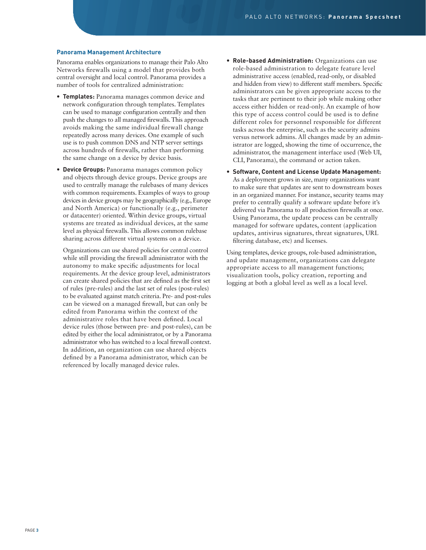#### **Panorama Management Architecture**

Panorama enables organizations to manage their Palo Alto Networks firewalls using a model that provides both central oversight and local control. Panorama provides a number of tools for centralized administration:

- **• Templates:** Panorama manages common device and network configuration through templates. Templates can be used to manage configuration centrally and then push the changes to all managed firewalls. This approach avoids making the same individual firewall change repeatedly across many devices. One example of such use is to push common DNS and NTP server settings across hundreds of firewalls, rather than performing the same change on a device by device basis.
- **• Device Groups:** Panorama manages common policy and objects through device groups. Device groups are used to centrally manage the rulebases of many devices with common requirements. Examples of ways to group devices in device groups may be geographically (e.g., Europe and North America) or functionally (e.g., perimeter or datacenter) oriented. Within device groups, virtual systems are treated as individual devices, at the same level as physical firewalls. This allows common rulebase sharing across different virtual systems on a device.

Organizations can use shared policies for central control while still providing the firewall administrator with the autonomy to make specific adjustments for local requirements. At the device group level, administrators can create shared policies that are defined as the first set of rules (pre-rules) and the last set of rules (post-rules) to be evaluated against match criteria. Pre- and post-rules can be viewed on a managed firewall, but can only be edited from Panorama within the context of the administrative roles that have been defined. Local device rules (those between pre- and post-rules), can be edited by either the local administrator, or by a Panorama administrator who has switched to a local firewall context. In addition, an organization can use shared objects defined by a Panorama administrator, which can be referenced by locally managed device rules.

- **• Role-based Administration:** Organizations can use role-based administration to delegate feature level administrative access (enabled, read-only, or disabled and hidden from view) to different staff members. Specific administrators can be given appropriate access to the tasks that are pertinent to their job while making other access either hidden or read-only. An example of how this type of access control could be used is to define different roles for personnel responsible for different tasks across the enterprise, such as the security admins versus network admins. All changes made by an administrator are logged, showing the time of occurrence, the administrator, the management interface used (Web UI, CLI, Panorama), the command or action taken.
- **• Software, Content and License Update Management:** As a deployment grows in size, many organizations want to make sure that updates are sent to downstream boxes in an organized manner. For instance, security teams may prefer to centrally qualify a software update before it's delivered via Panorama to all production firewalls at once. Using Panorama, the update process can be centrally managed for software updates, content (application updates, antivirus signatures, threat signatures, URL filtering database, etc) and licenses.

Using templates, device groups, role-based administration, and update management, organizations can delegate appropriate access to all management functions; visualization tools, policy creation, reporting and logging at both a global level as well as a local level.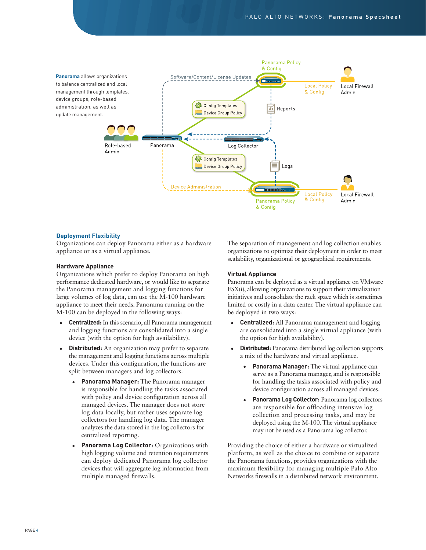

#### **Deployment Flexibility**

Organizations can deploy Panorama either as a hardware appliance or as a virtual appliance.

#### **Hardware Appliance**

Organizations which prefer to deploy Panorama on high performance dedicated hardware, or would like to separate the Panorama management and logging functions for large volumes of log data, can use the M-100 hardware appliance to meet their needs. Panorama running on the M-100 can be deployed in the following ways:

- **Centralized:** In this scenario, all Panorama management and logging functions are consolidated into a single device (with the option for high availability).
- **• Distributed:** An organization may prefer to separate the management and logging functions across multiple devices. Under this configuration, the functions are split between managers and log collectors.
	- **• Panorama Manager:** The Panorama manager is responsible for handling the tasks associated with policy and device configuration across all managed devices. The manager does not store log data locally, but rather uses separate log collectors for handling log data. The manager analyzes the data stored in the log collectors for centralized reporting.
	- **• Panorama Log Collector:** Organizations with high logging volume and retention requirements can deploy dedicated Panorama log collector devices that will aggregate log information from multiple managed firewalls.

The separation of management and log collection enables organizations to optimize their deployment in order to meet scalability, organizational or geographical requirements.

#### **Virtual Appliance**

Panorama can be deployed as a virtual appliance on VMware ESX(i), allowing organizations to support their virtualization initiatives and consolidate the rack space which is sometimes limited or costly in a data center. The virtual appliance can be deployed in two ways:

- **Centralized:** All Panorama management and logging are consolidated into a single virtual appliance (with the option for high availability).
- **• Distributed:** Panorama distributed log collection supports a mix of the hardware and virtual appliance.
	- **Panorama Manager:** The virtual appliance can serve as a Panorama manager, and is responsible for handling the tasks associated with policy and device configuration across all managed devices.
	- **Panorama Log Collector:** Panorama log collectors are responsible for offloading intensive log collection and processing tasks, and may be deployed using the M-100. The virtual appliance may not be used as a Panorama log collector.

Providing the choice of either a hardware or virtualized platform, as well as the choice to combine or separate the Panorama functions, provides organizations with the maximum flexibility for managing multiple Palo Alto Networks firewalls in a distributed network environment.